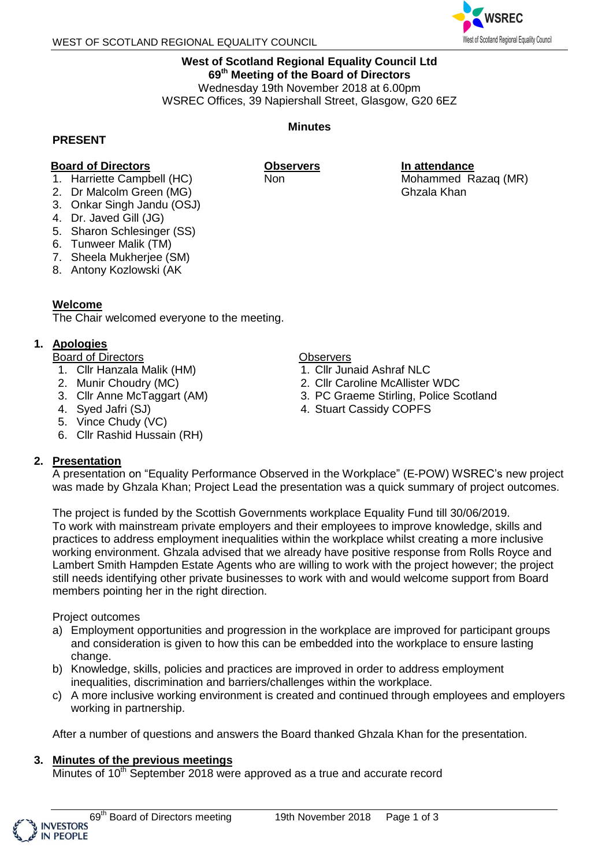

# **West of Scotland Regional Equality Council Ltd 69 th Meeting of the Board of Directors** Wednesday 19th November 2018 at 6.00pm

WSREC Offices, 39 Napiershall Street, Glasgow, G20 6EZ

### **PRESENT**

# **Board of Directors**

- 1. Harriette Campbell (HC)
- 2. Dr Malcolm Green (MG)
- 3. Onkar Singh Jandu (OSJ)
- 4. Dr. Javed Gill (JG)
- 5. Sharon Schlesinger (SS)
- 6. Tunweer Malik (TM)
- 7. Sheela Mukherjee (SM)
- 8. Antony Kozlowski (AK

### **Welcome**

The Chair welcomed everyone to the meeting.

# **1. Apologies**

Board of Directors

- 1. Cllr Hanzala Malik (HM)
- 2. Munir Choudry (MC)
- 3. Cllr Anne McTaggart (AM)
- 4. Syed Jafri (SJ)
- 5. Vince Chudy (VC)
- 6. Cllr Rashid Hussain (RH)

# **2. Presentation**

### **Observers**

- 1. Cllr Junaid Ashraf NLC
- 2. Cllr Caroline McAllister WDC
- 3. PC Graeme Stirling, Police Scotland
- 4. Stuart Cassidy COPFS

A presentation on "Equality Performance Observed in the Workplace" (E-POW) WSREC's new project was made by Ghzala Khan; Project Lead the presentation was a quick summary of project outcomes.

The project is funded by the Scottish Governments workplace Equality Fund till 30/06/2019. To work with mainstream private employers and their employees to improve knowledge, skills and practices to address employment inequalities within the workplace whilst creating a more inclusive working environment. Ghzala advised that we already have positive response from Rolls Royce and Lambert Smith Hampden Estate Agents who are willing to work with the project however; the project still needs identifying other private businesses to work with and would welcome support from Board members pointing her in the right direction.

# Project outcomes

- a) Employment opportunities and progression in the workplace are improved for participant groups and consideration is given to how this can be embedded into the workplace to ensure lasting change.
- b) Knowledge, skills, policies and practices are improved in order to address employment inequalities, discrimination and barriers/challenges within the workplace.
- c) A more inclusive working environment is created and continued through employees and employers working in partnership.

After a number of questions and answers the Board thanked Ghzala Khan for the presentation.

# **3. Minutes of the previous meetings**

Minutes of  $10<sup>th</sup>$  September 2018 were approved as a true and accurate record



**Observers**

Non

**In attendance** Mohammed Razaq (MR) Ghzala Khan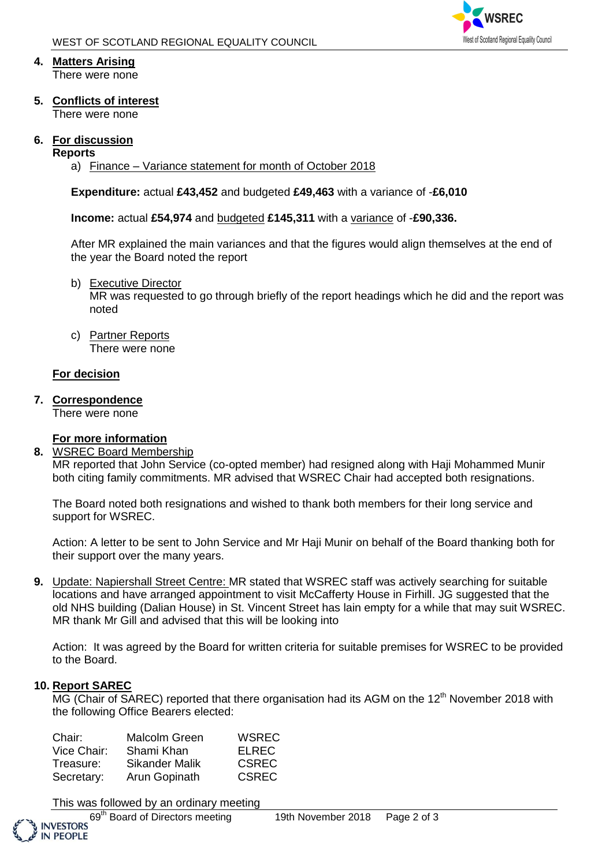

# **4. Matters Arising**

There were none

**5. Conflicts of interest**

There were none

# **6. For discussion**

### **Reports**

a) Finance – Variance statement for month of October 2018

**Expenditure:** actual **£43,452** and budgeted **£49,463** with a variance of -**£6,010**

**Income:** actual **£54,974** and budgeted **£145,311** with a variance of -**£90,336.** 

After MR explained the main variances and that the figures would align themselves at the end of the year the Board noted the report

b) Executive Director

MR was requested to go through briefly of the report headings which he did and the report was noted

c) Partner Reports There were none

# **For decision**

**7. Correspondence**

There were none

# **For more information**

**8.** WSREC Board Membership

MR reported that John Service (co-opted member) had resigned along with Haji Mohammed Munir both citing family commitments. MR advised that WSREC Chair had accepted both resignations.

The Board noted both resignations and wished to thank both members for their long service and support for WSREC.

Action: A letter to be sent to John Service and Mr Haji Munir on behalf of the Board thanking both for their support over the many years.

**9.** Update: Napiershall Street Centre: MR stated that WSREC staff was actively searching for suitable locations and have arranged appointment to visit McCafferty House in Firhill. JG suggested that the old NHS building (Dalian House) in St. Vincent Street has lain empty for a while that may suit WSREC. MR thank Mr Gill and advised that this will be looking into

Action: It was agreed by the Board for written criteria for suitable premises for WSREC to be provided to the Board.

# **10. Report SAREC**

 $MG$  (Chair of SAREC) reported that there organisation had its AGM on the 12<sup>th</sup> November 2018 with the following Office Bearers elected:

| Chair:      | Malcolm Green         | <b>WSREC</b> |
|-------------|-----------------------|--------------|
| Vice Chair: | Shami Khan            | <b>ELREC</b> |
| Treasure:   | <b>Sikander Malik</b> | <b>CSREC</b> |
| Secretary:  | Arun Gopinath         | <b>CSREC</b> |

This was followed by an ordinary meeting